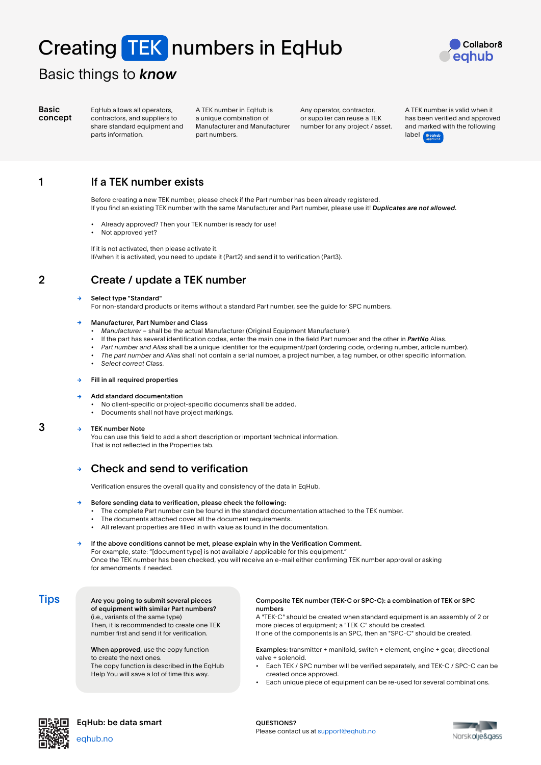# Creating TEK numbers in EqHub



# Basic things to *know*

Basic concept EqHub allows all operators, contractors, and suppliers to share standard equipment and parts information.

A TEK number in EqHub is a unique combination of Manufacturer and Manufacturer part numbers.

Any operator, contractor, or supplier can reuse a TEK number for any project / asset. A TEK number is valid when it has been verified and approved and marked with the following label **Occhu** 

1

# If a TEK number exists

Before creating a new TEK number, please check if the Part number has been already registered. If you find an existing TEK number with the same Manufacturer and Part number, please use it! *Duplicates are not allowed.*

- Already approved? Then your TEK number is ready for use!
- Not approved yet?

If it is not activated, then please activate it. If/when it is activated, you need to update it (Part2) and send it to verification (Part3).

2

3

# Create / update a TEK number

### Select type "Standard"

For non-standard products or items without a standard Part number, see the guide for SPC numbers.

### Manufacturer, Part Number and Class

- *• Manufacturer*  shall be the actual Manufacturer (Original Equipment Manufacturer).
- If the part has several identification codes, enter the main one in the field Part number and the other in *PartNo* Alias.
- *• Part number and Alias* shall be a unique identifier for the equipment/part (ordering code, ordering number, article number).
- *• The part number and Alias* shall not contain a serial number, a project number, a tag number, or other specific information.
- *• Select correct Class.*

### Fill in all required properties

### Add standard documentation

- No client-specific or project-specific documents shall be added.
- Documents shall not have project markings.

#### TEK number Note  $\rightarrow$

You can use this field to add a short description or important technical information. That is not reflected in the Properties tab.

## Check and send to verification

Verification ensures the overall quality and consistency of the data in EqHub.

### Before sending data to verification, please check the following:

- The complete Part number can be found in the standard documentation attached to the TEK number.
- The documents attached cover all the document requirements.
- All relevant properties are filled in with value as found in the documentation.

If the above conditions cannot be met, please explain why in the Verification Comment. For example, state: "[document type] is not available / applicable for this equipment." Once the TEK number has been checked, you will receive an e-mail either confirming TEK number approval or asking for amendments if needed.

### **Tips**

### Are you going to submit several pieces of equipment with similar Part numbers? (i.e., variants of the same type)

Then, it is recommended to create one TEK number first and send it for verification.

When approved, use the copy function to create the next ones. The copy function is described in the EqHub Help You will save a lot of time this way.

### Composite TEK number (TEK-C or SPC-C): a combination of TEK or SPC numbers

A "TEK-C" should be created when standard equipment is an assembly of 2 or more pieces of equipment; a "TEK-C" should be created.

If one of the components is an SPC, then an "SPC-C" should be created.

Examples: transmitter + manifold, switch + element, engine + gear, directional valve + solenoid.

- Each TEK / SPC number will be verified separately, and TEK-C / SPC-C can be created once approved.
- Each unique piece of equipment can be re-used for several combinations.



eqhub.no